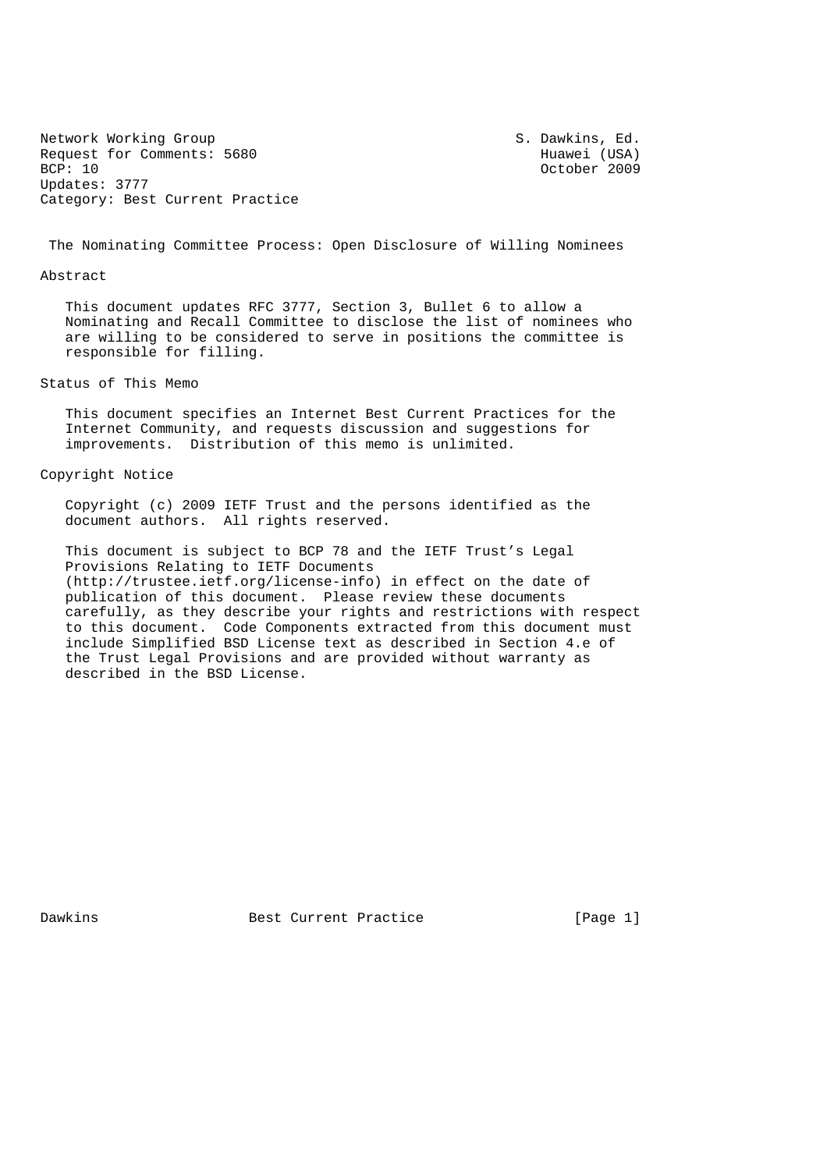Network Working Group S. Dawkins, Ed. Request for Comments: 5680 Huawei (USA)<br>BCP: 10 October 2009 Updates: 3777 Category: Best Current Practice

October 2009

The Nominating Committee Process: Open Disclosure of Willing Nominees

Abstract

 This document updates RFC 3777, Section 3, Bullet 6 to allow a Nominating and Recall Committee to disclose the list of nominees who are willing to be considered to serve in positions the committee is responsible for filling.

Status of This Memo

 This document specifies an Internet Best Current Practices for the Internet Community, and requests discussion and suggestions for improvements. Distribution of this memo is unlimited.

## Copyright Notice

 Copyright (c) 2009 IETF Trust and the persons identified as the document authors. All rights reserved.

 This document is subject to BCP 78 and the IETF Trust's Legal Provisions Relating to IETF Documents (http://trustee.ietf.org/license-info) in effect on the date of publication of this document. Please review these documents carefully, as they describe your rights and restrictions with respect to this document. Code Components extracted from this document must include Simplified BSD License text as described in Section 4.e of the Trust Legal Provisions and are provided without warranty as described in the BSD License.

Dawkins **Best Current Practice** [Page 1]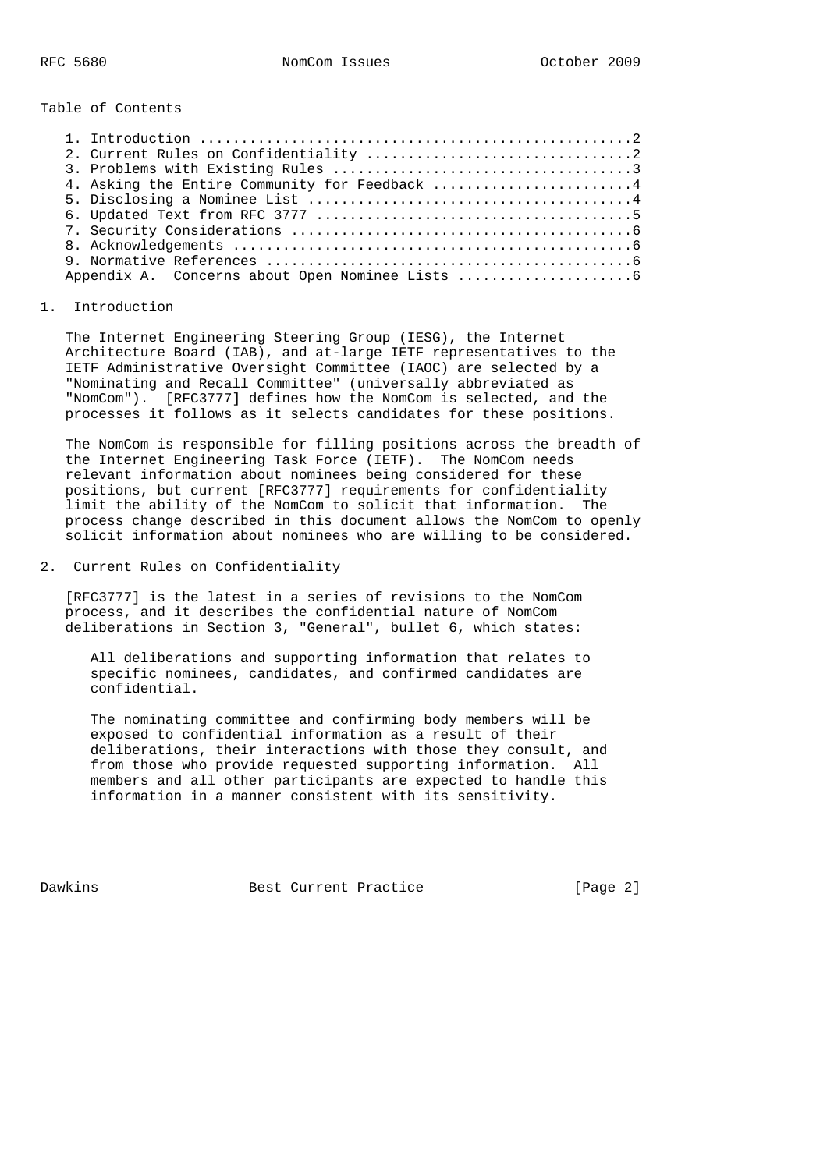Table of Contents

|  | 4. Asking the Entire Community for Feedback 4 |
|--|-----------------------------------------------|
|  |                                               |
|  |                                               |
|  |                                               |
|  |                                               |
|  |                                               |
|  |                                               |

## 1. Introduction

 The Internet Engineering Steering Group (IESG), the Internet Architecture Board (IAB), and at-large IETF representatives to the IETF Administrative Oversight Committee (IAOC) are selected by a "Nominating and Recall Committee" (universally abbreviated as "NomCom"). [RFC3777] defines how the NomCom is selected, and the processes it follows as it selects candidates for these positions.

 The NomCom is responsible for filling positions across the breadth of the Internet Engineering Task Force (IETF). The NomCom needs relevant information about nominees being considered for these positions, but current [RFC3777] requirements for confidentiality limit the ability of the NomCom to solicit that information. The process change described in this document allows the NomCom to openly solicit information about nominees who are willing to be considered.

2. Current Rules on Confidentiality

 [RFC3777] is the latest in a series of revisions to the NomCom process, and it describes the confidential nature of NomCom deliberations in Section 3, "General", bullet 6, which states:

 All deliberations and supporting information that relates to specific nominees, candidates, and confirmed candidates are confidential.

 The nominating committee and confirming body members will be exposed to confidential information as a result of their deliberations, their interactions with those they consult, and from those who provide requested supporting information. All members and all other participants are expected to handle this information in a manner consistent with its sensitivity.

Dawkins **Best Current Practice** [Page 2]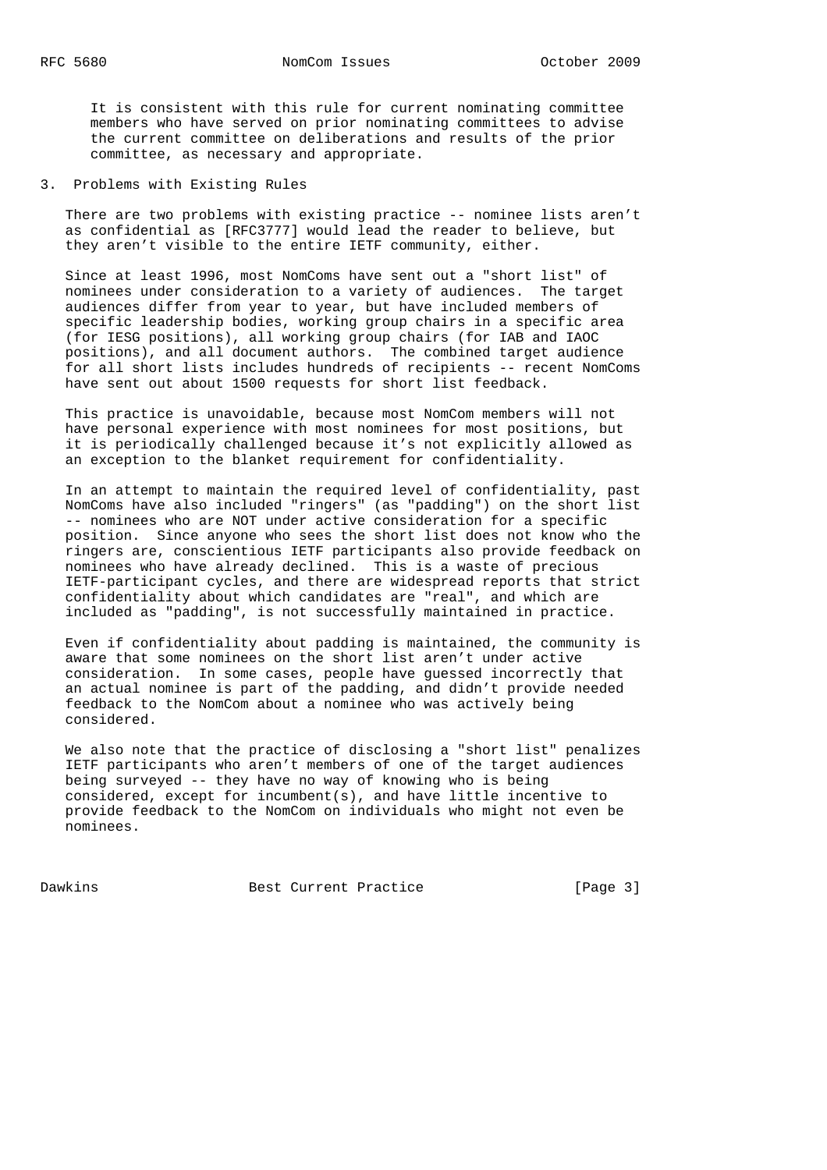It is consistent with this rule for current nominating committee members who have served on prior nominating committees to advise the current committee on deliberations and results of the prior committee, as necessary and appropriate.

3. Problems with Existing Rules

 There are two problems with existing practice -- nominee lists aren't as confidential as [RFC3777] would lead the reader to believe, but they aren't visible to the entire IETF community, either.

 Since at least 1996, most NomComs have sent out a "short list" of nominees under consideration to a variety of audiences. The target audiences differ from year to year, but have included members of specific leadership bodies, working group chairs in a specific area (for IESG positions), all working group chairs (for IAB and IAOC positions), and all document authors. The combined target audience for all short lists includes hundreds of recipients -- recent NomComs have sent out about 1500 requests for short list feedback.

 This practice is unavoidable, because most NomCom members will not have personal experience with most nominees for most positions, but it is periodically challenged because it's not explicitly allowed as an exception to the blanket requirement for confidentiality.

 In an attempt to maintain the required level of confidentiality, past NomComs have also included "ringers" (as "padding") on the short list -- nominees who are NOT under active consideration for a specific position. Since anyone who sees the short list does not know who the ringers are, conscientious IETF participants also provide feedback on nominees who have already declined. This is a waste of precious IETF-participant cycles, and there are widespread reports that strict confidentiality about which candidates are "real", and which are included as "padding", is not successfully maintained in practice.

 Even if confidentiality about padding is maintained, the community is aware that some nominees on the short list aren't under active consideration. In some cases, people have guessed incorrectly that an actual nominee is part of the padding, and didn't provide needed feedback to the NomCom about a nominee who was actively being considered.

 We also note that the practice of disclosing a "short list" penalizes IETF participants who aren't members of one of the target audiences being surveyed -- they have no way of knowing who is being considered, except for incumbent(s), and have little incentive to provide feedback to the NomCom on individuals who might not even be nominees.

Dawkins **Best Current Practice** [Page 3]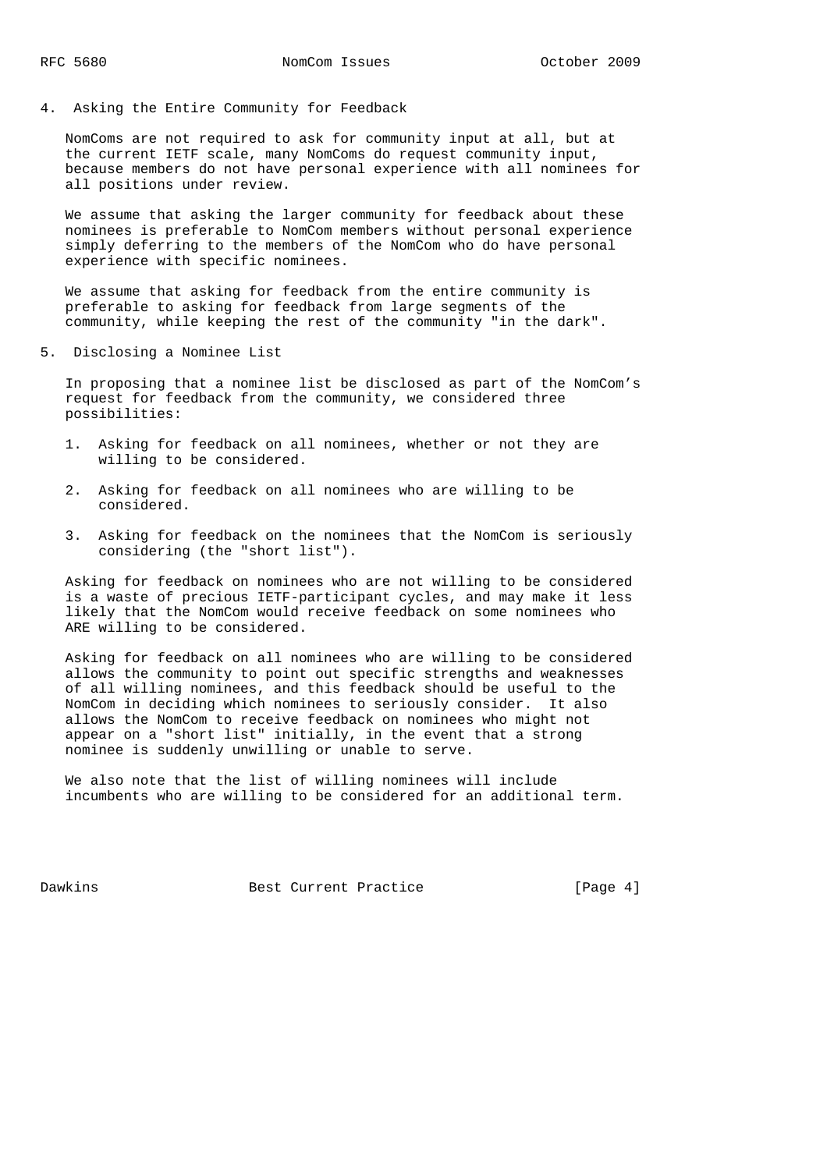4. Asking the Entire Community for Feedback

 NomComs are not required to ask for community input at all, but at the current IETF scale, many NomComs do request community input, because members do not have personal experience with all nominees for all positions under review.

 We assume that asking the larger community for feedback about these nominees is preferable to NomCom members without personal experience simply deferring to the members of the NomCom who do have personal experience with specific nominees.

 We assume that asking for feedback from the entire community is preferable to asking for feedback from large segments of the community, while keeping the rest of the community "in the dark".

5. Disclosing a Nominee List

 In proposing that a nominee list be disclosed as part of the NomCom's request for feedback from the community, we considered three possibilities:

- 1. Asking for feedback on all nominees, whether or not they are willing to be considered.
- 2. Asking for feedback on all nominees who are willing to be considered.
- 3. Asking for feedback on the nominees that the NomCom is seriously considering (the "short list").

 Asking for feedback on nominees who are not willing to be considered is a waste of precious IETF-participant cycles, and may make it less likely that the NomCom would receive feedback on some nominees who ARE willing to be considered.

 Asking for feedback on all nominees who are willing to be considered allows the community to point out specific strengths and weaknesses of all willing nominees, and this feedback should be useful to the NomCom in deciding which nominees to seriously consider. It also allows the NomCom to receive feedback on nominees who might not appear on a "short list" initially, in the event that a strong nominee is suddenly unwilling or unable to serve.

 We also note that the list of willing nominees will include incumbents who are willing to be considered for an additional term.

Dawkins **Best Current Practice** [Page 4]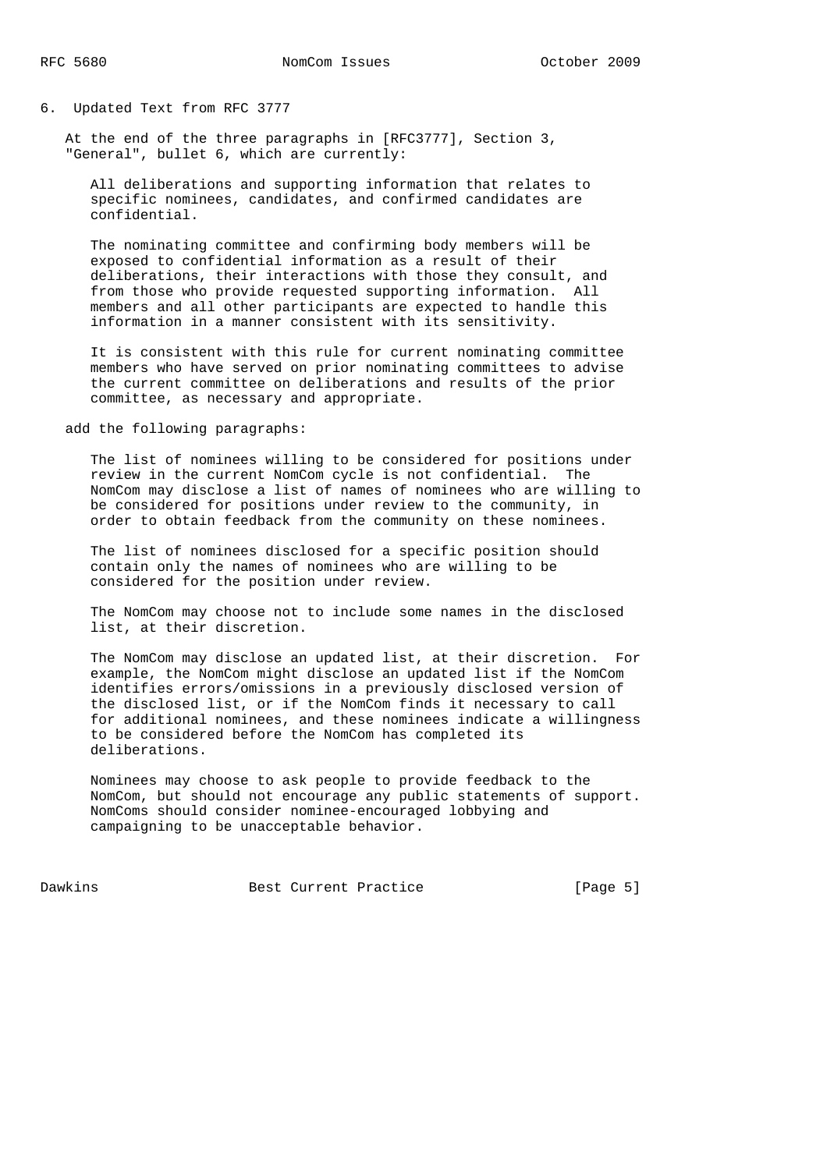6. Updated Text from RFC 3777

 At the end of the three paragraphs in [RFC3777], Section 3, "General", bullet 6, which are currently:

 All deliberations and supporting information that relates to specific nominees, candidates, and confirmed candidates are confidential.

 The nominating committee and confirming body members will be exposed to confidential information as a result of their deliberations, their interactions with those they consult, and from those who provide requested supporting information. All members and all other participants are expected to handle this information in a manner consistent with its sensitivity.

 It is consistent with this rule for current nominating committee members who have served on prior nominating committees to advise the current committee on deliberations and results of the prior committee, as necessary and appropriate.

add the following paragraphs:

 The list of nominees willing to be considered for positions under review in the current NomCom cycle is not confidential. The NomCom may disclose a list of names of nominees who are willing to be considered for positions under review to the community, in order to obtain feedback from the community on these nominees.

 The list of nominees disclosed for a specific position should contain only the names of nominees who are willing to be considered for the position under review.

 The NomCom may choose not to include some names in the disclosed list, at their discretion.

 The NomCom may disclose an updated list, at their discretion. For example, the NomCom might disclose an updated list if the NomCom identifies errors/omissions in a previously disclosed version of the disclosed list, or if the NomCom finds it necessary to call for additional nominees, and these nominees indicate a willingness to be considered before the NomCom has completed its deliberations.

 Nominees may choose to ask people to provide feedback to the NomCom, but should not encourage any public statements of support. NomComs should consider nominee-encouraged lobbying and campaigning to be unacceptable behavior.

Dawkins **Best Current Practice** [Page 5]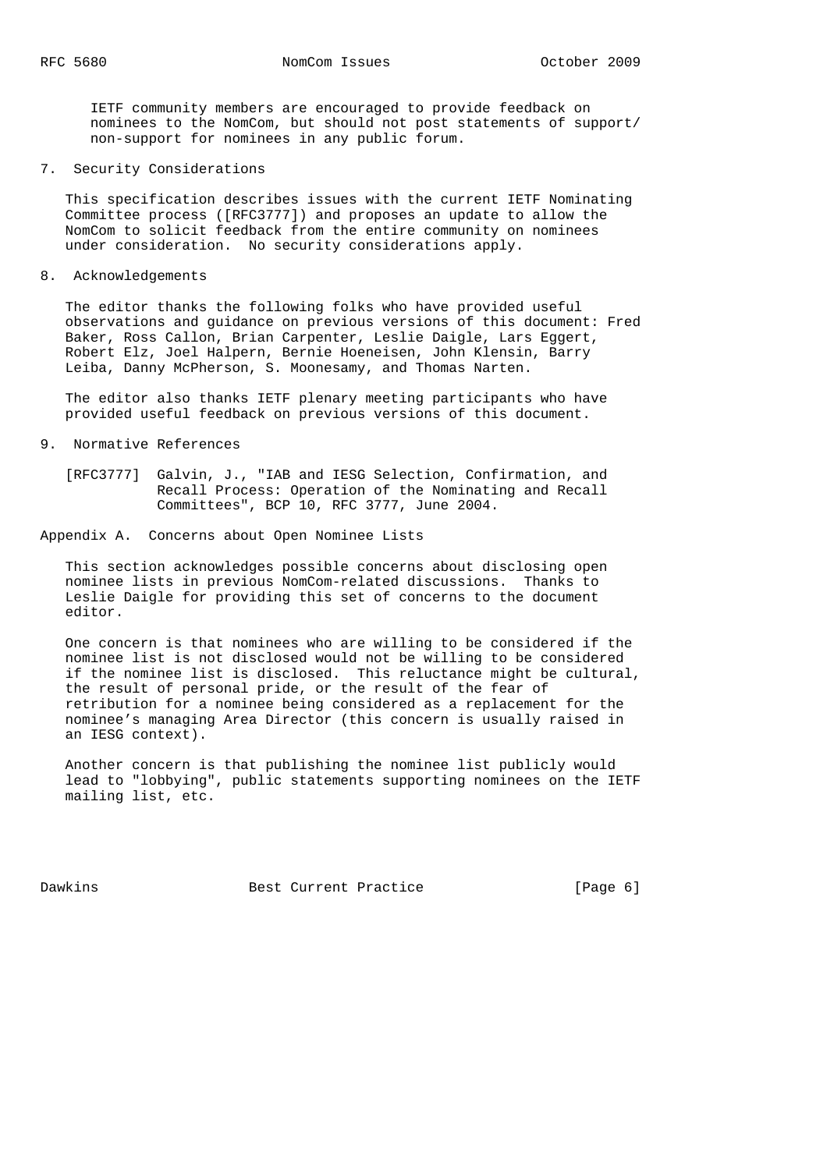IETF community members are encouraged to provide feedback on nominees to the NomCom, but should not post statements of support/ non-support for nominees in any public forum.

## 7. Security Considerations

 This specification describes issues with the current IETF Nominating Committee process ([RFC3777]) and proposes an update to allow the NomCom to solicit feedback from the entire community on nominees under consideration. No security considerations apply.

8. Acknowledgements

 The editor thanks the following folks who have provided useful observations and guidance on previous versions of this document: Fred Baker, Ross Callon, Brian Carpenter, Leslie Daigle, Lars Eggert, Robert Elz, Joel Halpern, Bernie Hoeneisen, John Klensin, Barry Leiba, Danny McPherson, S. Moonesamy, and Thomas Narten.

 The editor also thanks IETF plenary meeting participants who have provided useful feedback on previous versions of this document.

- 9. Normative References
	- [RFC3777] Galvin, J., "IAB and IESG Selection, Confirmation, and Recall Process: Operation of the Nominating and Recall Committees", BCP 10, RFC 3777, June 2004.

## Appendix A. Concerns about Open Nominee Lists

 This section acknowledges possible concerns about disclosing open nominee lists in previous NomCom-related discussions. Thanks to Leslie Daigle for providing this set of concerns to the document editor.

 One concern is that nominees who are willing to be considered if the nominee list is not disclosed would not be willing to be considered if the nominee list is disclosed. This reluctance might be cultural, the result of personal pride, or the result of the fear of retribution for a nominee being considered as a replacement for the nominee's managing Area Director (this concern is usually raised in an IESG context).

 Another concern is that publishing the nominee list publicly would lead to "lobbying", public statements supporting nominees on the IETF mailing list, etc.

Dawkins **Best Current Practice** [Page 6]